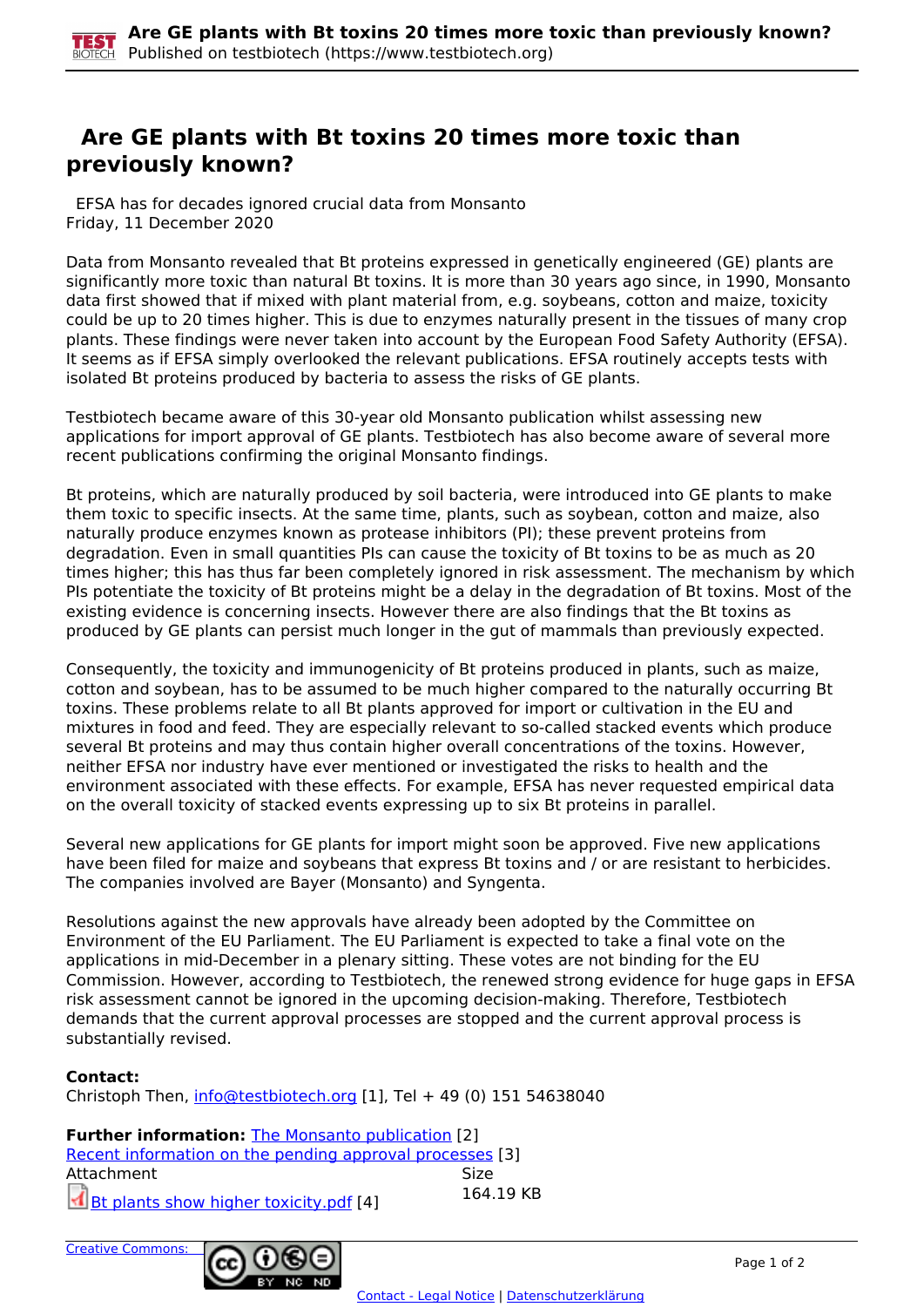## **Are GE plants with Bt toxins 20 times more toxic than previously known?**

 EFSA has for decades ignored crucial data from Monsanto Friday, 11 December 2020

Data from Monsanto revealed that Bt proteins expressed in genetically engineered (GE) plants are significantly more toxic than natural Bt toxins. It is more than 30 years ago since, in 1990, Monsanto data first showed that if mixed with plant material from, e.g. soybeans, cotton and maize, toxicity could be up to 20 times higher. This is due to enzymes naturally present in the tissues of many crop plants. These findings were never taken into account by the European Food Safety Authority (EFSA). It seems as if EFSA simply overlooked the relevant publications. EFSA routinely accepts tests with isolated Bt proteins produced by bacteria to assess the risks of GE plants.

Testbiotech became aware of this 30-year old Monsanto publication whilst assessing new applications for import approval of GE plants. Testbiotech has also become aware of several more recent publications confirming the original Monsanto findings.

Bt proteins, which are naturally produced by soil bacteria, were introduced into GE plants to make them toxic to specific insects. At the same time, plants, such as soybean, cotton and maize, also naturally produce enzymes known as protease inhibitors (PI); these prevent proteins from degradation. Even in small quantities PIs can cause the toxicity of Bt toxins to be as much as 20 times higher; this has thus far been completely ignored in risk assessment. The mechanism by which PIs potentiate the toxicity of Bt proteins might be a delay in the degradation of Bt toxins. Most of the existing evidence is concerning insects. However there are also findings that the Bt toxins as produced by GE plants can persist much longer in the gut of mammals than previously expected.

Consequently, the toxicity and immunogenicity of Bt proteins produced in plants, such as maize, cotton and soybean, has to be assumed to be much higher compared to the naturally occurring Bt toxins. These problems relate to all Bt plants approved for import or cultivation in the EU and mixtures in food and feed. They are especially relevant to so-called stacked events which produce several Bt proteins and may thus contain higher overall concentrations of the toxins. However, neither EFSA nor industry have ever mentioned or investigated the risks to health and the environment associated with these effects. For example, EFSA has never requested empirical data on the overall toxicity of stacked events expressing up to six Bt proteins in parallel.

Several new applications for GE plants for import might soon be approved. Five new applications have been filed for maize and soybeans that express Bt toxins and / or are resistant to herbicides. The companies involved are Bayer (Monsanto) and Syngenta.

Resolutions against the new approvals have already been adopted by the Committee on Environment of the EU Parliament. The EU Parliament is expected to take a final vote on the applications in mid-December in a plenary sitting. These votes are not binding for the EU Commission. However, according to Testbiotech, the renewed strong evidence for huge gaps in EFSA risk assessment cannot be ignored in the upcoming decision-making. Therefore, Testbiotech demands that the current approval processes are stopped and the current approval process is substantially revised.

## **Contact:**

Christoph Then, [info@testbiotech.org](mailto:info@testbiotech.org) [1], Tel + 49 (0) 151 54638040

**Further information: The Monsanto publication [2]** Recent information on the pending approval processes [3] Attachment Size  $\overrightarrow{d}$  Bt plants show higher toxicity.pdf [4] 164.19 KB